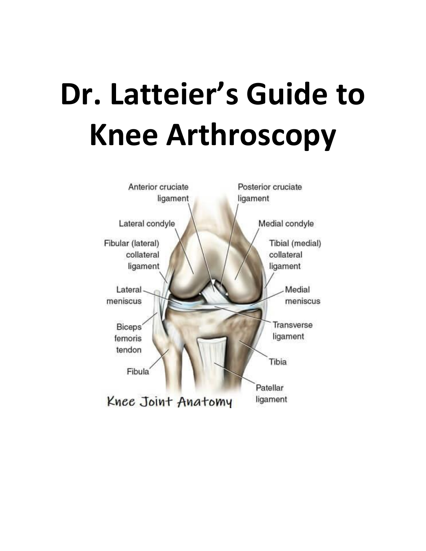# **Dr. Latteier's Guide to Knee Arthroscopy**

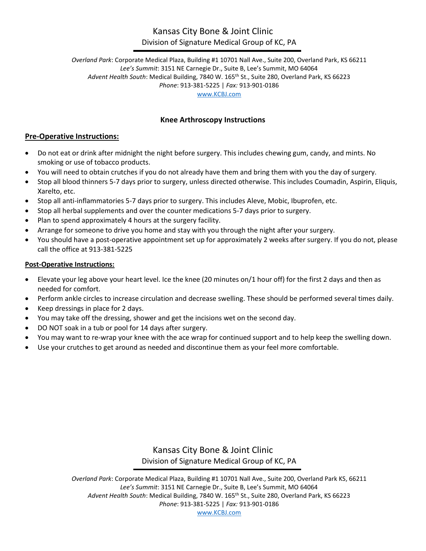#### Kansas City Bone & Joint Clinic Division of Signature Medical Group of KC, PA

*Overland Park*: Corporate Medical Plaza, Building #1 10701 Nall Ave., Suite 200, Overland Park, KS 66211 *Lee's Summit*: 3151 NE Carnegie Dr., Suite B, Lee's Summit, MO 64064 *Advent Health South*: Medical Building, 7840 W. 165th St., Suite 280, Overland Park, KS 66223 *Phone*: 913-381-5225 | *Fax:* 913-901-0186 [www.KCBJ.com](http://www.kcbj.com/)

#### **Knee Arthroscopy Instructions**

#### **Pre-Operative Instructions:**

- Do not eat or drink after midnight the night before surgery. This includes chewing gum, candy, and mints. No smoking or use of tobacco products.
- You will need to obtain crutches if you do not already have them and bring them with you the day of surgery.
- Stop all blood thinners 5-7 days prior to surgery, unless directed otherwise. This includes Coumadin, Aspirin, Eliquis, Xarelto, etc.
- Stop all anti-inflammatories 5-7 days prior to surgery. This includes Aleve, Mobic, Ibuprofen, etc.
- Stop all herbal supplements and over the counter medications 5-7 days prior to surgery.
- Plan to spend approximately 4 hours at the surgery facility.
- Arrange for someone to drive you home and stay with you through the night after your surgery.
- You should have a post-operative appointment set up for approximately 2 weeks after surgery. If you do not, please call the office at 913-381-5225

#### **Post-Operative Instructions:**

- Elevate your leg above your heart level. Ice the knee (20 minutes on/1 hour off) for the first 2 days and then as needed for comfort.
- Perform ankle circles to increase circulation and decrease swelling. These should be performed several times daily.
- Keep dressings in place for 2 days.
- You may take off the dressing, shower and get the incisions wet on the second day.
- DO NOT soak in a tub or pool for 14 days after surgery.
- You may want to re-wrap your knee with the ace wrap for continued support and to help keep the swelling down.
- Use your crutches to get around as needed and discontinue them as your feel more comfortable.

Kansas City Bone & Joint Clinic Division of Signature Medical Group of KC, PA

*Overland Park*: Corporate Medical Plaza, Building #1 10701 Nall Ave., Suite 200, Overland Park KS, 66211 *Lee's Summit*: 3151 NE Carnegie Dr., Suite B, Lee's Summit, MO 64064 *Advent Health South*: Medical Building, 7840 W. 165th St., Suite 280, Overland Park, KS 66223 *Phone*: 913-381-5225 | *Fax:* 913-901-0186 [www.KCBJ.com](http://www.kcbj.com/)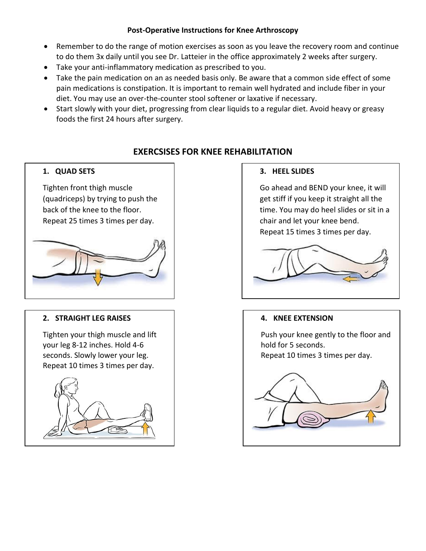#### **Post-Operative Instructions for Knee Arthroscopy**

- Remember to do the range of motion exercises as soon as you leave the recovery room and continue to do them 3x daily until you see Dr. Latteier in the office approximately 2 weeks after surgery.
- Take your anti-inflammatory medication as prescribed to you.
- Take the pain medication on an as needed basis only. Be aware that a common side effect of some pain medications is constipation. It is important to remain well hydrated and include fiber in your diet. You may use an over-the-counter stool softener or laxative if necessary.
- Start slowly with your diet, progressing from clear liquids to a regular diet. Avoid heavy or greasy foods the first 24 hours after surgery.

#### **EXERCSISES FOR KNEE REHABILITATION**

#### **1. QUAD SETS**

Tighten front thigh muscle (quadriceps) by trying to push the back of the knee to the floor. Repeat 25 times 3 times per day.



#### **2. STRAIGHT LEG RAISES**

Tighten your thigh muscle and lift your leg 8-12 inches. Hold 4-6 seconds. Slowly lower your leg. Repeat 10 times 3 times per day.



#### **3. HEEL SLIDES**

Go ahead and BEND your knee, it will get stiff if you keep it straight all the time. You may do heel slides or sit in a chair and let your knee bend. Repeat 15 times 3 times per day.



#### **4. KNEE EXTENSION**

Push your knee gently to the floor and hold for 5 seconds. Repeat 10 times 3 times per day.

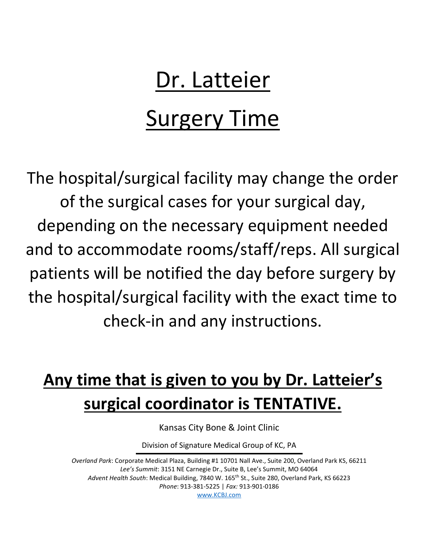# Dr. Latteier

# Surgery Time

The hospital/surgical facility may change the order of the surgical cases for your surgical day, depending on the necessary equipment needed and to accommodate rooms/staff/reps. All surgical patients will be notified the day before surgery by the hospital/surgical facility with the exact time to check-in and any instructions.

## **Any time that is given to you by Dr. Latteier's surgical coordinator is TENTATIVE.**

Kansas City Bone & Joint Clinic

Division of Signature Medical Group of KC, PA

*Overland Park*: Corporate Medical Plaza, Building #1 10701 Nall Ave., Suite 200, Overland Park KS, 66211 *Lee's Summit*: 3151 NE Carnegie Dr., Suite B, Lee's Summit, MO 64064 Advent Health South: Medical Building, 7840 W. 165<sup>th</sup> St., Suite 280, Overland Park, KS 66223 *Phone*: 913-381-5225 | *Fax:* 913-901-0186 [www.KCBJ.com](http://www.kcbj.com/)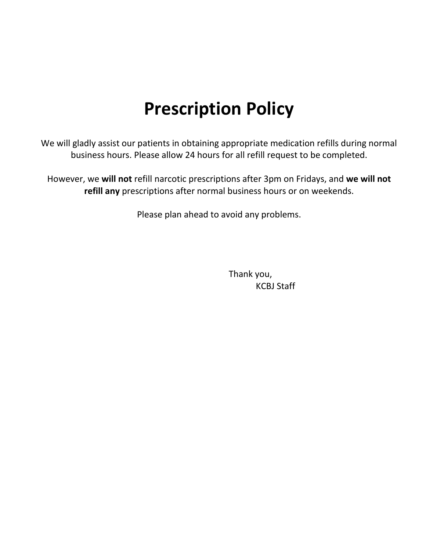### **Prescription Policy**

We will gladly assist our patients in obtaining appropriate medication refills during normal business hours. Please allow 24 hours for all refill request to be completed.

However, we **will not** refill narcotic prescriptions after 3pm on Fridays, and **we will not refill any** prescriptions after normal business hours or on weekends.

Please plan ahead to avoid any problems.

Thank you, KCBJ Staff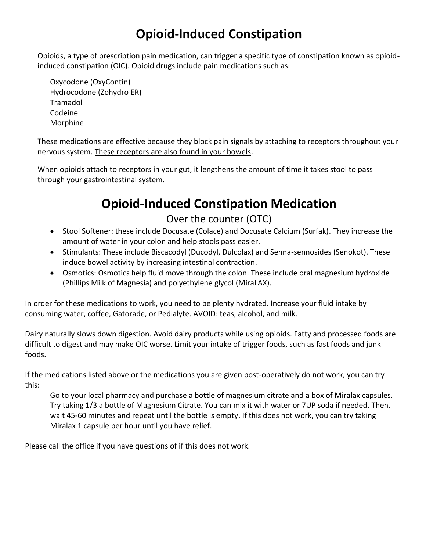### **Opioid-Induced Constipation**

Opioids, a type of prescription pain medication, can trigger a specific type of constipation known as opioidinduced constipation (OIC). Opioid drugs include pain medications such as:

Oxycodone (OxyContin) Hydrocodone (Zohydro ER) Tramadol Codeine Morphine

These medications are effective because they block pain signals by attaching to receptors throughout your nervous system. These receptors are also found in your bowels.

When opioids attach to receptors in your gut, it lengthens the amount of time it takes stool to pass through your gastrointestinal system.

### **Opioid-Induced Constipation Medication**

#### Over the counter (OTC)

- Stool Softener: these include Docusate (Colace) and Docusate Calcium (Surfak). They increase the amount of water in your colon and help stools pass easier.
- Stimulants: These include Biscacodyl (Ducodyl, Dulcolax) and Senna-sennosides (Senokot). These induce bowel activity by increasing intestinal contraction.
- Osmotics: Osmotics help fluid move through the colon. These include oral magnesium hydroxide (Phillips Milk of Magnesia) and polyethylene glycol (MiraLAX).

In order for these medications to work, you need to be plenty hydrated. Increase your fluid intake by consuming water, coffee, Gatorade, or Pedialyte. AVOID: teas, alcohol, and milk.

Dairy naturally slows down digestion. Avoid dairy products while using opioids. Fatty and processed foods are difficult to digest and may make OIC worse. Limit your intake of trigger foods, such as fast foods and junk foods.

If the medications listed above or the medications you are given post-operatively do not work, you can try this:

Go to your local pharmacy and purchase a bottle of magnesium citrate and a box of Miralax capsules. Try taking 1/3 a bottle of Magnesium Citrate. You can mix it with water or 7UP soda if needed. Then, wait 45-60 minutes and repeat until the bottle is empty. If this does not work, you can try taking Miralax 1 capsule per hour until you have relief.

Please call the office if you have questions of if this does not work.